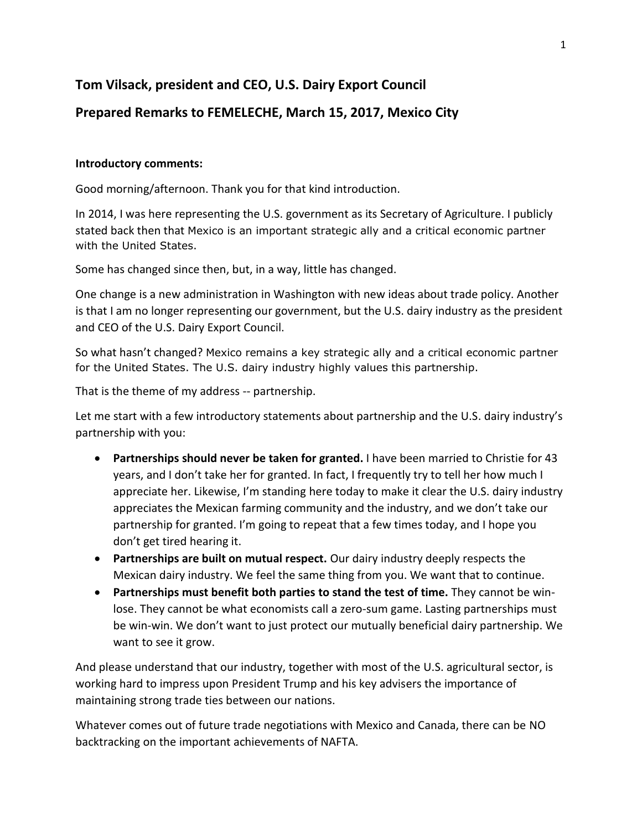## **Tom Vilsack, president and CEO, U.S. Dairy Export Council**

## **Prepared Remarks to FEMELECHE, March 15, 2017, Mexico City**

## **Introductory comments:**

Good morning/afternoon. Thank you for that kind introduction.

In 2014, I was here representing the U.S. government as its Secretary of Agriculture. I publicly stated back then that Mexico is an important strategic ally and a critical economic partner with the United States.

Some has changed since then, but, in a way, little has changed.

One change is a new administration in Washington with new ideas about trade policy. Another is that I am no longer representing our government, but the U.S. dairy industry as the president and CEO of the U.S. Dairy Export Council.

So what hasn't changed? Mexico remains a key strategic ally and a critical economic partner for the United States. The U.S. dairy industry highly values this partnership.

That is the theme of my address -- partnership.

Let me start with a few introductory statements about partnership and the U.S. dairy industry's partnership with you:

- **Partnerships should never be taken for granted.** I have been married to Christie for 43 years, and I don't take her for granted. In fact, I frequently try to tell her how much I appreciate her. Likewise, I'm standing here today to make it clear the U.S. dairy industry appreciates the Mexican farming community and the industry, and we don't take our partnership for granted. I'm going to repeat that a few times today, and I hope you don't get tired hearing it.
- **Partnerships are built on mutual respect.** Our dairy industry deeply respects the Mexican dairy industry. We feel the same thing from you. We want that to continue.
- **Partnerships must benefit both parties to stand the test of time.** They cannot be winlose. They cannot be what economists call a zero-sum game. Lasting partnerships must be win-win. We don't want to just protect our mutually beneficial dairy partnership. We want to see it grow.

And please understand that our industry, together with most of the U.S. agricultural sector, is working hard to impress upon President Trump and his key advisers the importance of maintaining strong trade ties between our nations.

Whatever comes out of future trade negotiations with Mexico and Canada, there can be NO backtracking on the important achievements of NAFTA.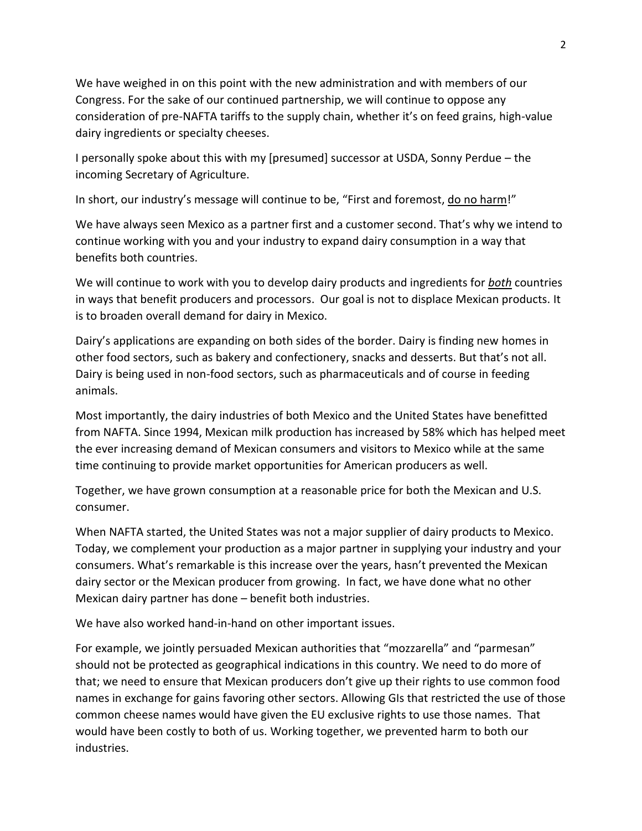We have weighed in on this point with the new administration and with members of our Congress. For the sake of our continued partnership, we will continue to oppose any consideration of pre-NAFTA tariffs to the supply chain, whether it's on feed grains, high-value dairy ingredients or specialty cheeses.

I personally spoke about this with my [presumed] successor at USDA, Sonny Perdue – the incoming Secretary of Agriculture.

In short, our industry's message will continue to be, "First and foremost, do no harm!"

We have always seen Mexico as a partner first and a customer second. That's why we intend to continue working with you and your industry to expand dairy consumption in a way that benefits both countries.

We will continue to work with you to develop dairy products and ingredients for *both* countries in ways that benefit producers and processors. Our goal is not to displace Mexican products. It is to broaden overall demand for dairy in Mexico.

Dairy's applications are expanding on both sides of the border. Dairy is finding new homes in other food sectors, such as bakery and confectionery, snacks and desserts. But that's not all. Dairy is being used in non-food sectors, such as pharmaceuticals and of course in feeding animals.

Most importantly, the dairy industries of both Mexico and the United States have benefitted from NAFTA. Since 1994, Mexican milk production has increased by 58% which has helped meet the ever increasing demand of Mexican consumers and visitors to Mexico while at the same time continuing to provide market opportunities for American producers as well.

Together, we have grown consumption at a reasonable price for both the Mexican and U.S. consumer.

When NAFTA started, the United States was not a major supplier of dairy products to Mexico. Today, we complement your production as a major partner in supplying your industry and your consumers. What's remarkable is this increase over the years, hasn't prevented the Mexican dairy sector or the Mexican producer from growing. In fact, we have done what no other Mexican dairy partner has done – benefit both industries.

We have also worked hand-in-hand on other important issues.

For example, we jointly persuaded Mexican authorities that "mozzarella" and "parmesan" should not be protected as geographical indications in this country. We need to do more of that; we need to ensure that Mexican producers don't give up their rights to use common food names in exchange for gains favoring other sectors. Allowing GIs that restricted the use of those common cheese names would have given the EU exclusive rights to use those names. That would have been costly to both of us. Working together, we prevented harm to both our industries.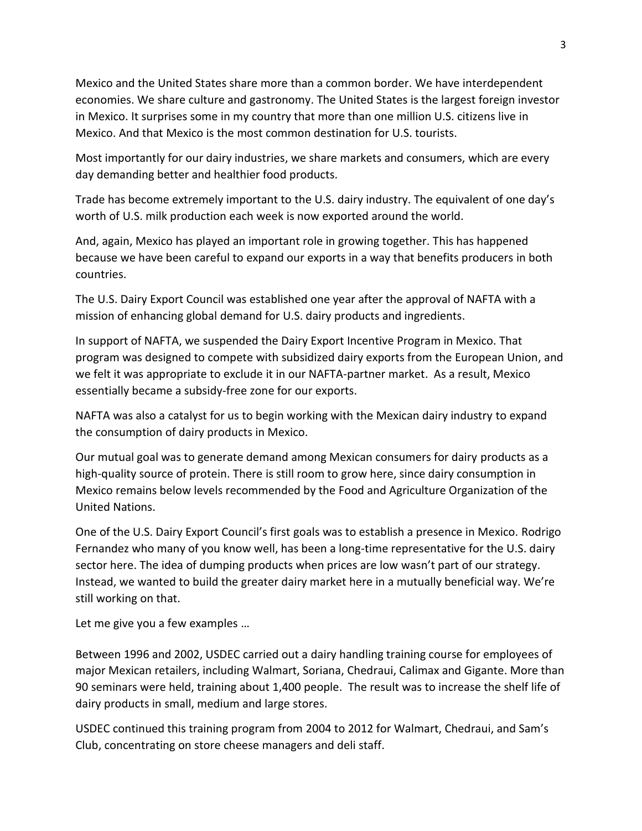Mexico and the United States share more than a common border. We have interdependent economies. We share culture and gastronomy. The United States is the largest foreign investor in Mexico. It surprises some in my country that more than one million U.S. citizens live in Mexico. And that Mexico is the most common destination for U.S. tourists.

Most importantly for our dairy industries, we share markets and consumers, which are every day demanding better and healthier food products.

Trade has become extremely important to the U.S. dairy industry. The equivalent of one day's worth of U.S. milk production each week is now exported around the world.

And, again, Mexico has played an important role in growing together. This has happened because we have been careful to expand our exports in a way that benefits producers in both countries.

The U.S. Dairy Export Council was established one year after the approval of NAFTA with a mission of enhancing global demand for U.S. dairy products and ingredients.

In support of NAFTA, we suspended the Dairy Export Incentive Program in Mexico. That program was designed to compete with subsidized dairy exports from the European Union, and we felt it was appropriate to exclude it in our NAFTA-partner market. As a result, Mexico essentially became a subsidy-free zone for our exports.

NAFTA was also a catalyst for us to begin working with the Mexican dairy industry to expand the consumption of dairy products in Mexico.

Our mutual goal was to generate demand among Mexican consumers for dairy products as a high-quality source of protein. There is still room to grow here, since dairy consumption in Mexico remains below levels recommended by the Food and Agriculture Organization of the United Nations.

One of the U.S. Dairy Export Council's first goals was to establish a presence in Mexico. Rodrigo Fernandez who many of you know well, has been a long-time representative for the U.S. dairy sector here. The idea of dumping products when prices are low wasn't part of our strategy. Instead, we wanted to build the greater dairy market here in a mutually beneficial way. We're still working on that.

Let me give you a few examples …

Between 1996 and 2002, USDEC carried out a dairy handling training course for employees of major Mexican retailers, including Walmart, Soriana, Chedraui, Calimax and Gigante. More than 90 seminars were held, training about 1,400 people. The result was to increase the shelf life of dairy products in small, medium and large stores.

USDEC continued this training program from 2004 to 2012 for Walmart, Chedraui, and Sam's Club, concentrating on store cheese managers and deli staff.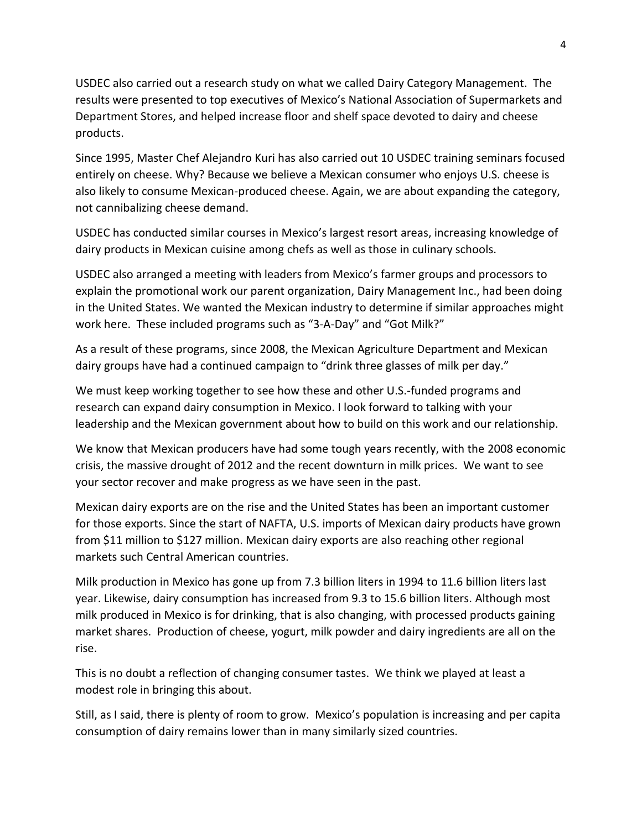USDEC also carried out a research study on what we called Dairy Category Management. The results were presented to top executives of Mexico's National Association of Supermarkets and Department Stores, and helped increase floor and shelf space devoted to dairy and cheese products.

Since 1995, Master Chef Alejandro Kuri has also carried out 10 USDEC training seminars focused entirely on cheese. Why? Because we believe a Mexican consumer who enjoys U.S. cheese is also likely to consume Mexican-produced cheese. Again, we are about expanding the category, not cannibalizing cheese demand.

USDEC has conducted similar courses in Mexico's largest resort areas, increasing knowledge of dairy products in Mexican cuisine among chefs as well as those in culinary schools.

USDEC also arranged a meeting with leaders from Mexico's farmer groups and processors to explain the promotional work our parent organization, Dairy Management Inc., had been doing in the United States. We wanted the Mexican industry to determine if similar approaches might work here. These included programs such as "3-A-Day" and "Got Milk?"

As a result of these programs, since 2008, the Mexican Agriculture Department and Mexican dairy groups have had a continued campaign to "drink three glasses of milk per day."

We must keep working together to see how these and other U.S.-funded programs and research can expand dairy consumption in Mexico. I look forward to talking with your leadership and the Mexican government about how to build on this work and our relationship.

We know that Mexican producers have had some tough years recently, with the 2008 economic crisis, the massive drought of 2012 and the recent downturn in milk prices. We want to see your sector recover and make progress as we have seen in the past.

Mexican dairy exports are on the rise and the United States has been an important customer for those exports. Since the start of NAFTA, U.S. imports of Mexican dairy products have grown from \$11 million to \$127 million. Mexican dairy exports are also reaching other regional markets such Central American countries.

Milk production in Mexico has gone up from 7.3 billion liters in 1994 to 11.6 billion liters last year. Likewise, dairy consumption has increased from 9.3 to 15.6 billion liters. Although most milk produced in Mexico is for drinking, that is also changing, with processed products gaining market shares. Production of cheese, yogurt, milk powder and dairy ingredients are all on the rise.

This is no doubt a reflection of changing consumer tastes. We think we played at least a modest role in bringing this about.

Still, as I said, there is plenty of room to grow. Mexico's population is increasing and per capita consumption of dairy remains lower than in many similarly sized countries.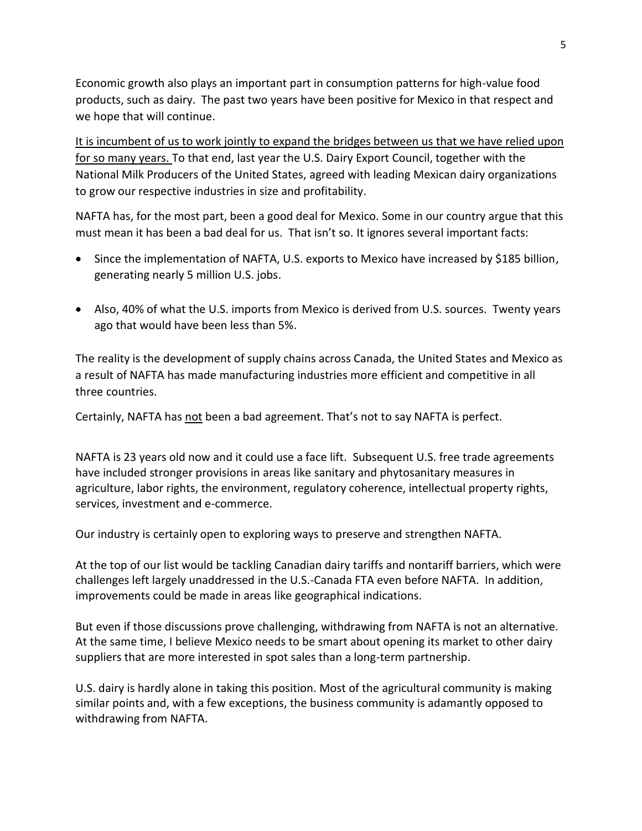Economic growth also plays an important part in consumption patterns for high-value food products, such as dairy. The past two years have been positive for Mexico in that respect and we hope that will continue.

It is incumbent of us to work jointly to expand the bridges between us that we have relied upon for so many years. To that end, last year the U.S. Dairy Export Council, together with the National Milk Producers of the United States, agreed with leading Mexican dairy organizations to grow our respective industries in size and profitability.

NAFTA has, for the most part, been a good deal for Mexico. Some in our country argue that this must mean it has been a bad deal for us. That isn't so. It ignores several important facts:

- Since the implementation of NAFTA, U.S. exports to Mexico have increased by \$185 billion, generating nearly 5 million U.S. jobs.
- Also, 40% of what the U.S. imports from Mexico is derived from U.S. sources. Twenty years ago that would have been less than 5%.

The reality is the development of supply chains across Canada, the United States and Mexico as a result of NAFTA has made manufacturing industries more efficient and competitive in all three countries.

Certainly, NAFTA has not been a bad agreement. That's not to say NAFTA is perfect.

NAFTA is 23 years old now and it could use a face lift. Subsequent U.S. free trade agreements have included stronger provisions in areas like sanitary and phytosanitary measures in agriculture, labor rights, the environment, regulatory coherence, intellectual property rights, services, investment and e-commerce.

Our industry is certainly open to exploring ways to preserve and strengthen NAFTA.

At the top of our list would be tackling Canadian dairy tariffs and nontariff barriers, which were challenges left largely unaddressed in the U.S.-Canada FTA even before NAFTA. In addition, improvements could be made in areas like geographical indications.

But even if those discussions prove challenging, withdrawing from NAFTA is not an alternative. At the same time, I believe Mexico needs to be smart about opening its market to other dairy suppliers that are more interested in spot sales than a long-term partnership.

U.S. dairy is hardly alone in taking this position. Most of the agricultural community is making similar points and, with a few exceptions, the business community is adamantly opposed to withdrawing from NAFTA.